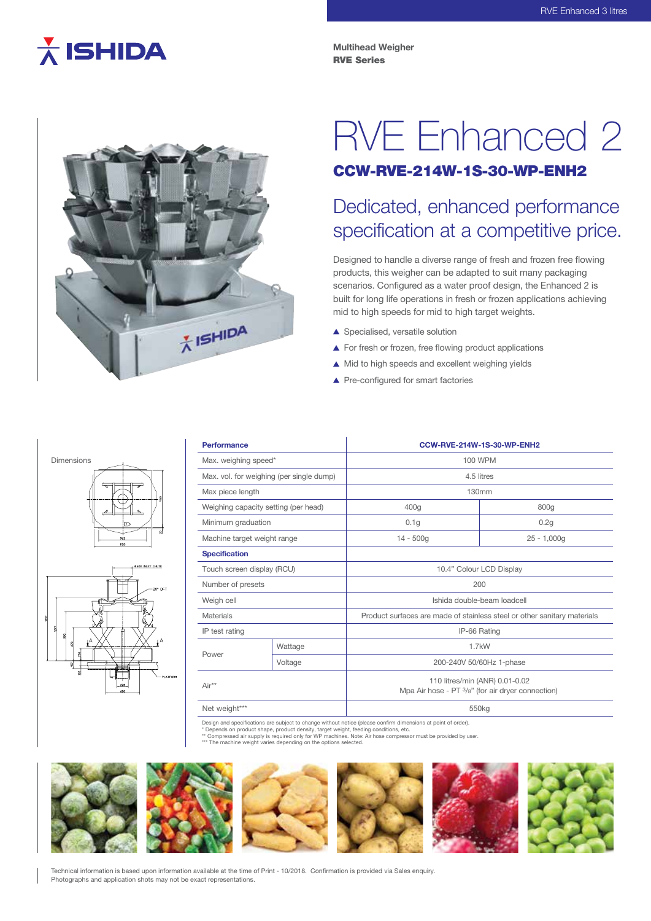# $\overline{\lambda}$  ISHIDA

**Multihead Weigher** RVE Series



## RVE Enhanced 2 CCW-RVE-214W-1S-30-WP-ENH2

### Dedicated, enhanced performance specification at a competitive price.

Designed to handle a diverse range of fresh and frozen free flowing products, this weigher can be adapted to suit many packaging scenarios. Configured as a water proof design, the Enhanced 2 is built for long life operations in fresh or frozen applications achieving mid to high speeds for mid to high target weights.

- ▲ Specialised, versatile solution
- ▲ For fresh or frozen, free flowing product applications
- ▲ Mid to high speeds and excellent weighing yields
- ▲ Pre-configured for smart factories



| <b>Performance</b>                       |         | CCW-RVE-214W-1S-30-WP-ENH2                                                          |               |
|------------------------------------------|---------|-------------------------------------------------------------------------------------|---------------|
| Max. weighing speed*                     |         | 100 WPM                                                                             |               |
| Max. vol. for weighing (per single dump) |         | 4.5 litres                                                                          |               |
| Max piece length                         |         | 130mm                                                                               |               |
| Weighing capacity setting (per head)     |         | 400g                                                                                | 800g          |
| Minimum graduation                       |         | 0.1q                                                                                | 0.2q          |
| Machine target weight range              |         | $14 - 500q$                                                                         | $25 - 1,000q$ |
| <b>Specification</b>                     |         |                                                                                     |               |
| Touch screen display (RCU)               |         | 10.4" Colour LCD Display                                                            |               |
| Number of presets                        |         | 200                                                                                 |               |
| Weigh cell                               |         | Ishida double-beam loadcell                                                         |               |
| Materials                                |         | Product surfaces are made of stainless steel or other sanitary materials            |               |
| IP test rating                           |         | IP-66 Rating                                                                        |               |
| Power                                    | Wattage | $1.7$ kW                                                                            |               |
|                                          | Voltage | 200-240V 50/60Hz 1-phase                                                            |               |
| $Air**$                                  |         | 110 litres/min (ANR) 0.01-0.02<br>Mpa Air hose - PT 3/8" (for air dryer connection) |               |
| Net weight***                            |         | 550 <sub>kg</sub>                                                                   |               |

Design and specifications are subject to change without notice (please confirm dimensions at point of order).<br>\* Depends on product shape, product density target weight feeding conditions, atc.

\* Depends on product shape, product density, target weight, feeding conditions, etc.<br>\*\* Compressed air supply is required only for WP machines. Note: Air hose compressor must be provided by user.<br>\*\*\* The machine weight var



Technical information is based upon information available at the time of Print - 10/2018. Confirmation is provided via Sales enquiry. Photographs and application shots may not be exact representations.